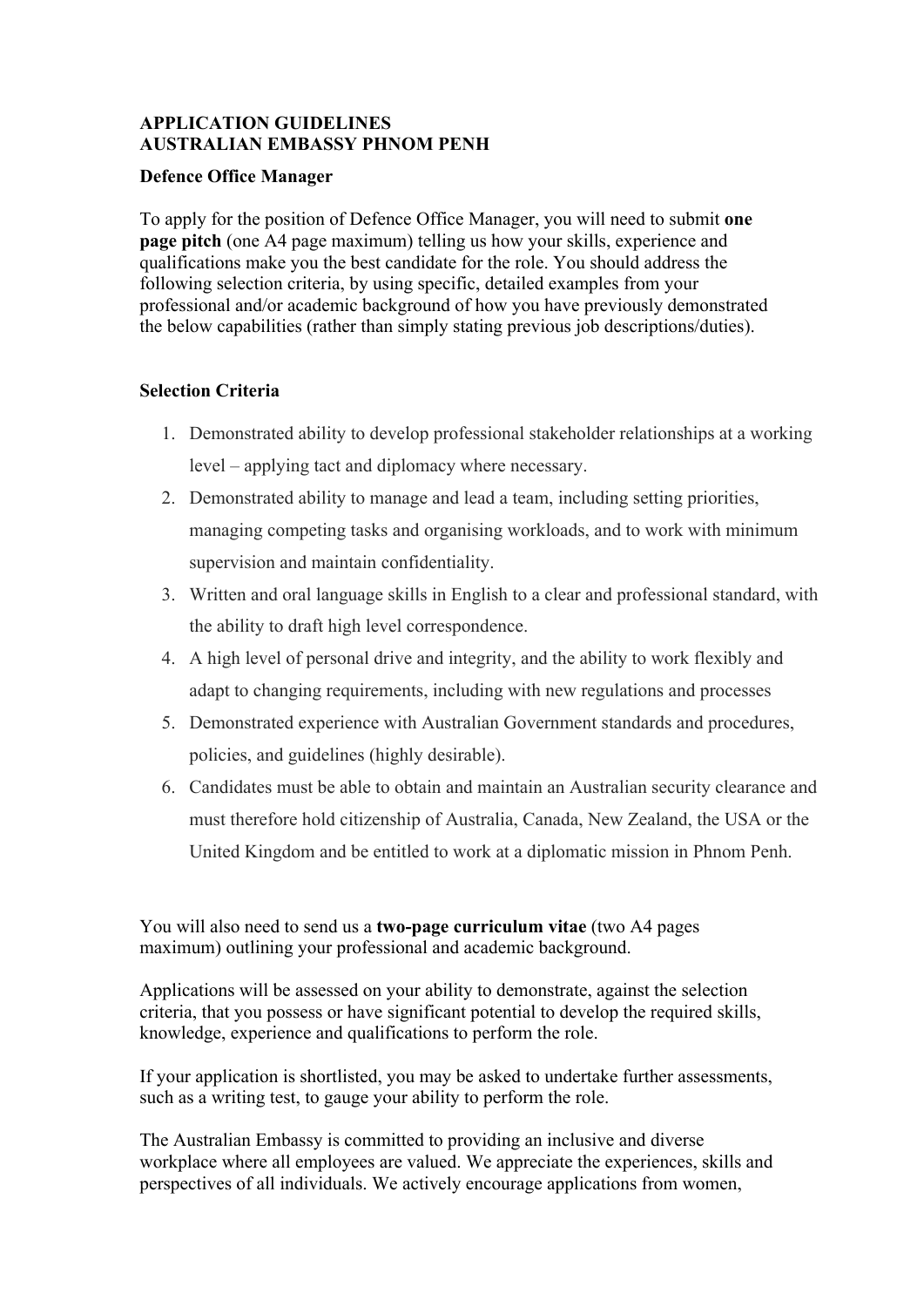# **APPLICATION GUIDELINES AUSTRALIAN EMBASSY PHNOM PENH**

#### **Defence Office Manager**

To apply for the position of Defence Office Manager, you will need to submit **one page pitch** (one A4 page maximum) telling us how your skills, experience and qualifications make you the best candidate for the role. You should address the following selection criteria, by using specific, detailed examples from your professional and/or academic background of how you have previously demonstrated the below capabilities (rather than simply stating previous job descriptions/duties).

## **Selection Criteria**

- 1. Demonstrated ability to develop professional stakeholder relationships at a working level – applying tact and diplomacy where necessary.
- 2. Demonstrated ability to manage and lead a team, including setting priorities, managing competing tasks and organising workloads, and to work with minimum supervision and maintain confidentiality.
- 3. Written and oral language skills in English to a clear and professional standard, with the ability to draft high level correspondence.
- 4. A high level of personal drive and integrity, and the ability to work flexibly and adapt to changing requirements, including with new regulations and processes
- 5. Demonstrated experience with Australian Government standards and procedures, policies, and guidelines (highly desirable).
- 6. Candidates must be able to obtain and maintain an Australian security clearance and must therefore hold citizenship of Australia, Canada, New Zealand, the USA or the United Kingdom and be entitled to work at a diplomatic mission in Phnom Penh.

You will also need to send us a **two-page curriculum vitae** (two A4 pages maximum) outlining your professional and academic background.

Applications will be assessed on your ability to demonstrate, against the selection criteria, that you possess or have significant potential to develop the required skills, knowledge, experience and qualifications to perform the role.

If your application is shortlisted, you may be asked to undertake further assessments, such as a writing test, to gauge your ability to perform the role.

The Australian Embassy is committed to providing an inclusive and diverse workplace where all employees are valued. We appreciate the experiences, skills and perspectives of all individuals. We actively encourage applications from women,